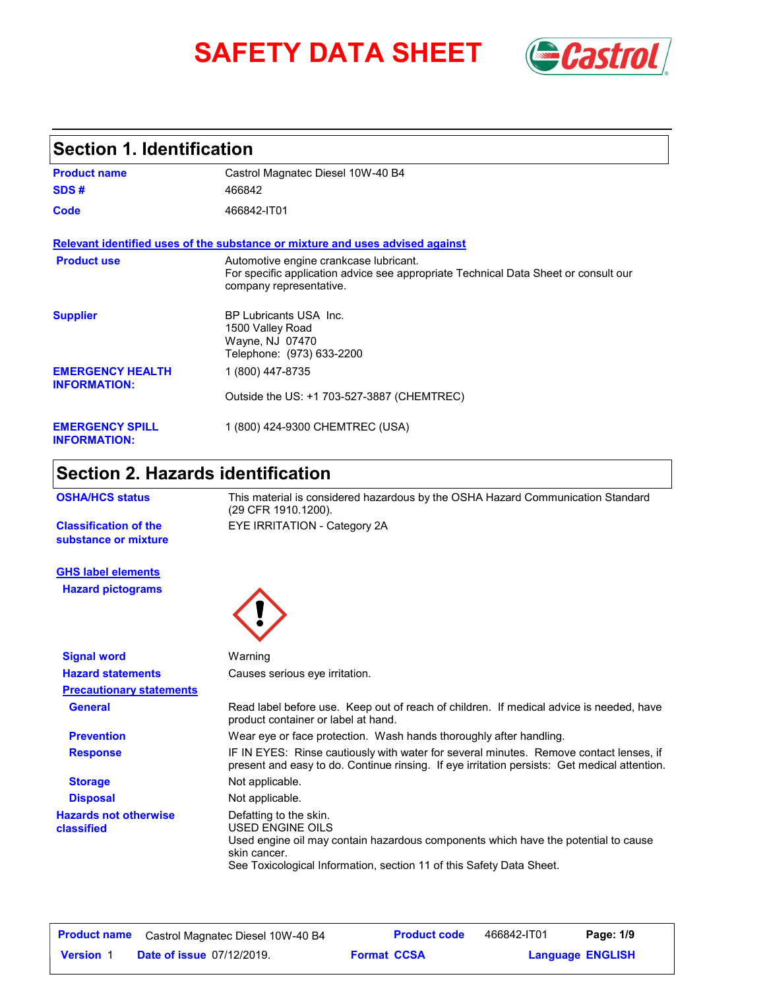# SAFETY DATA SHEET **Gastrol**



### **Section 1. Identification**

| <b>Product name</b>                            | Castrol Magnatec Diesel 10W-40 B4                                                                                                                        |
|------------------------------------------------|----------------------------------------------------------------------------------------------------------------------------------------------------------|
| SDS#                                           | 466842                                                                                                                                                   |
| Code                                           | 466842-IT01                                                                                                                                              |
|                                                | Relevant identified uses of the substance or mixture and uses advised against                                                                            |
| <b>Product use</b>                             | Automotive engine crankcase lubricant.<br>For specific application advice see appropriate Technical Data Sheet or consult our<br>company representative. |
| <b>Supplier</b>                                | BP Lubricants USA Inc.<br>1500 Valley Road<br>Wayne, NJ 07470<br>Telephone: (973) 633-2200                                                               |
| <b>EMERGENCY HEALTH</b><br><b>INFORMATION:</b> | 1 (800) 447-8735                                                                                                                                         |
|                                                | Outside the US: +1 703-527-3887 (CHEMTREC)                                                                                                               |
| <b>EMERGENCY SPILL</b><br><b>INFORMATION:</b>  | 1 (800) 424-9300 CHEMTREC (USA)                                                                                                                          |

### **Section 2. Hazards identification**

| This material is considered hazardous by the OSHA Hazard Communication Standard<br>(29 CFR 1910.1200).                                                                                                                   |
|--------------------------------------------------------------------------------------------------------------------------------------------------------------------------------------------------------------------------|
| EYE IRRITATION - Category 2A                                                                                                                                                                                             |
|                                                                                                                                                                                                                          |
|                                                                                                                                                                                                                          |
| Warning                                                                                                                                                                                                                  |
| Causes serious eve irritation.                                                                                                                                                                                           |
|                                                                                                                                                                                                                          |
| Read label before use. Keep out of reach of children. If medical advice is needed, have<br>product container or label at hand.                                                                                           |
| Wear eye or face protection. Wash hands thoroughly after handling.                                                                                                                                                       |
| IF IN EYES: Rinse cautiously with water for several minutes. Remove contact lenses, if<br>present and easy to do. Continue rinsing. If eye irritation persists: Get medical attention.                                   |
| Not applicable.                                                                                                                                                                                                          |
| Not applicable.                                                                                                                                                                                                          |
| Defatting to the skin.<br>USED ENGINE OILS<br>Used engine oil may contain hazardous components which have the potential to cause<br>skin cancer.<br>See Toxicological Information, section 11 of this Safety Data Sheet. |
|                                                                                                                                                                                                                          |

| <b>Product name</b> | Castrol Magnatec Diesel 10W-40 B4 |                    | <b>Product code</b> | 466842-IT01 | Page: 1/9               |  |
|---------------------|-----------------------------------|--------------------|---------------------|-------------|-------------------------|--|
| <b>Version</b> 1    | <b>Date of issue 07/12/2019.</b>  | <b>Format CCSA</b> |                     |             | <b>Language ENGLISH</b> |  |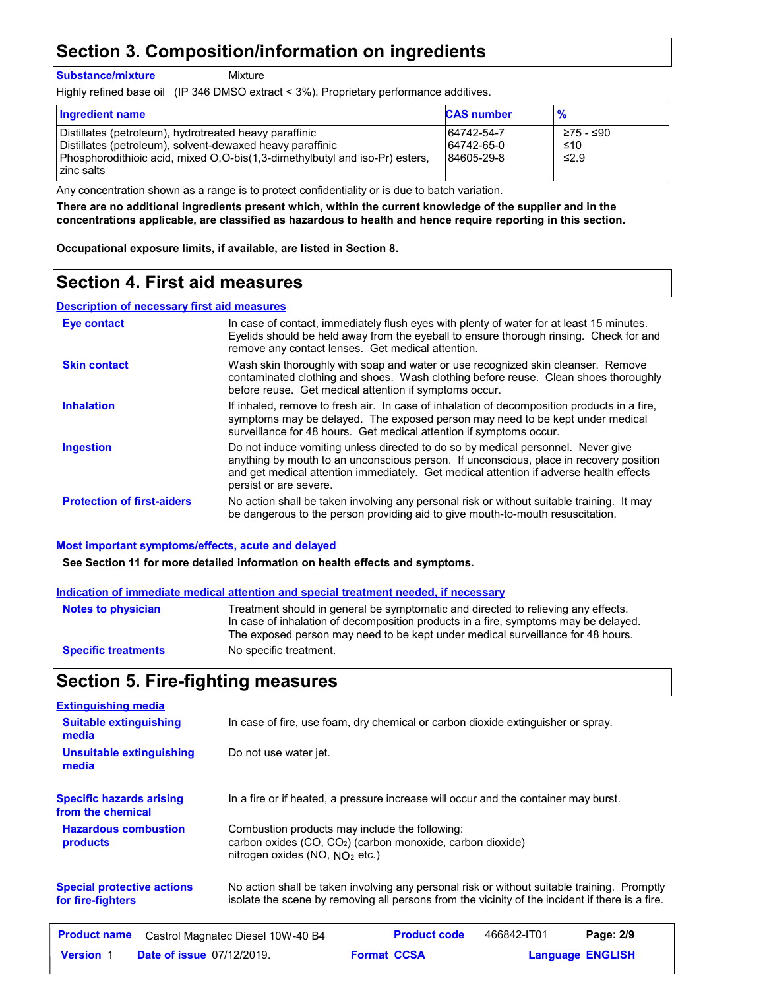### **Section 3. Composition/information on ingredients**

**Substance/mixture**

Mixture

Highly refined base oil (IP 346 DMSO extract < 3%). Proprietary performance additives.

| <b>Ingredient name</b>                                                                                                                                                                                           | <b>CAS number</b>                      | $\frac{9}{6}$                  |
|------------------------------------------------------------------------------------------------------------------------------------------------------------------------------------------------------------------|----------------------------------------|--------------------------------|
| Distillates (petroleum), hydrotreated heavy paraffinic<br>Distillates (petroleum), solvent-dewaxed heavy paraffinic<br>Phosphorodithioic acid, mixed O,O-bis(1,3-dimethylbutyl and iso-Pr) esters,<br>zinc salts | 64742-54-7<br>64742-65-0<br>84605-29-8 | ≥75 - ≤90<br>≤10<br>$\leq$ 2.9 |

Any concentration shown as a range is to protect confidentiality or is due to batch variation.

**There are no additional ingredients present which, within the current knowledge of the supplier and in the concentrations applicable, are classified as hazardous to health and hence require reporting in this section.**

**Occupational exposure limits, if available, are listed in Section 8.**

### **Section 4. First aid measures**

#### **Description of necessary first aid measures**

| <b>Eve contact</b>                | In case of contact, immediately flush eyes with plenty of water for at least 15 minutes.<br>Eyelids should be held away from the eyeball to ensure thorough rinsing. Check for and<br>remove any contact lenses. Get medical attention.                                                        |
|-----------------------------------|------------------------------------------------------------------------------------------------------------------------------------------------------------------------------------------------------------------------------------------------------------------------------------------------|
| <b>Skin contact</b>               | Wash skin thoroughly with soap and water or use recognized skin cleanser. Remove<br>contaminated clothing and shoes. Wash clothing before reuse. Clean shoes thoroughly<br>before reuse. Get medical attention if symptoms occur.                                                              |
| <b>Inhalation</b>                 | If inhaled, remove to fresh air. In case of inhalation of decomposition products in a fire,<br>symptoms may be delayed. The exposed person may need to be kept under medical<br>surveillance for 48 hours. Get medical attention if symptoms occur.                                            |
| <b>Ingestion</b>                  | Do not induce vomiting unless directed to do so by medical personnel. Never give<br>anything by mouth to an unconscious person. If unconscious, place in recovery position<br>and get medical attention immediately. Get medical attention if adverse health effects<br>persist or are severe. |
| <b>Protection of first-aiders</b> | No action shall be taken involving any personal risk or without suitable training. It may<br>be dangerous to the person providing aid to give mouth-to-mouth resuscitation.                                                                                                                    |

#### **Most important symptoms/effects, acute and delayed**

**See Section 11 for more detailed information on health effects and symptoms.**

#### **Indication of immediate medical attention and special treatment needed, if necessary**

| <b>Notes to physician</b>  | Treatment should in general be symptomatic and directed to relieving any effects.<br>In case of inhalation of decomposition products in a fire, symptoms may be delayed.<br>The exposed person may need to be kept under medical surveillance for 48 hours. |
|----------------------------|-------------------------------------------------------------------------------------------------------------------------------------------------------------------------------------------------------------------------------------------------------------|
| <b>Specific treatments</b> | No specific treatment.                                                                                                                                                                                                                                      |

### **Section 5. Fire-fighting measures**

| <b>Extinguishing media</b>                             |                                                                                                                                                                                                |                    |                     |             |                         |
|--------------------------------------------------------|------------------------------------------------------------------------------------------------------------------------------------------------------------------------------------------------|--------------------|---------------------|-------------|-------------------------|
| <b>Suitable extinguishing</b><br>media                 | In case of fire, use foam, dry chemical or carbon dioxide extinguisher or spray.                                                                                                               |                    |                     |             |                         |
| Unsuitable extinguishing<br>media                      | Do not use water jet.                                                                                                                                                                          |                    |                     |             |                         |
| <b>Specific hazards arising</b><br>from the chemical   | In a fire or if heated, a pressure increase will occur and the container may burst.                                                                                                            |                    |                     |             |                         |
| <b>Hazardous combustion</b><br>products                | Combustion products may include the following:<br>carbon oxides (CO, CO <sub>2</sub> ) (carbon monoxide, carbon dioxide)<br>nitrogen oxides (NO, $NQ_2$ etc.)                                  |                    |                     |             |                         |
| <b>Special protective actions</b><br>for fire-fighters | No action shall be taken involving any personal risk or without suitable training. Promptly<br>isolate the scene by removing all persons from the vicinity of the incident if there is a fire. |                    |                     |             |                         |
| <b>Product name</b>                                    | Castrol Magnatec Diesel 10W-40 B4                                                                                                                                                              |                    | <b>Product code</b> | 466842-IT01 | Page: 2/9               |
| <b>Date of issue 07/12/2019.</b><br><b>Version 1</b>   |                                                                                                                                                                                                | <b>Format CCSA</b> |                     |             | <b>Language ENGLISH</b> |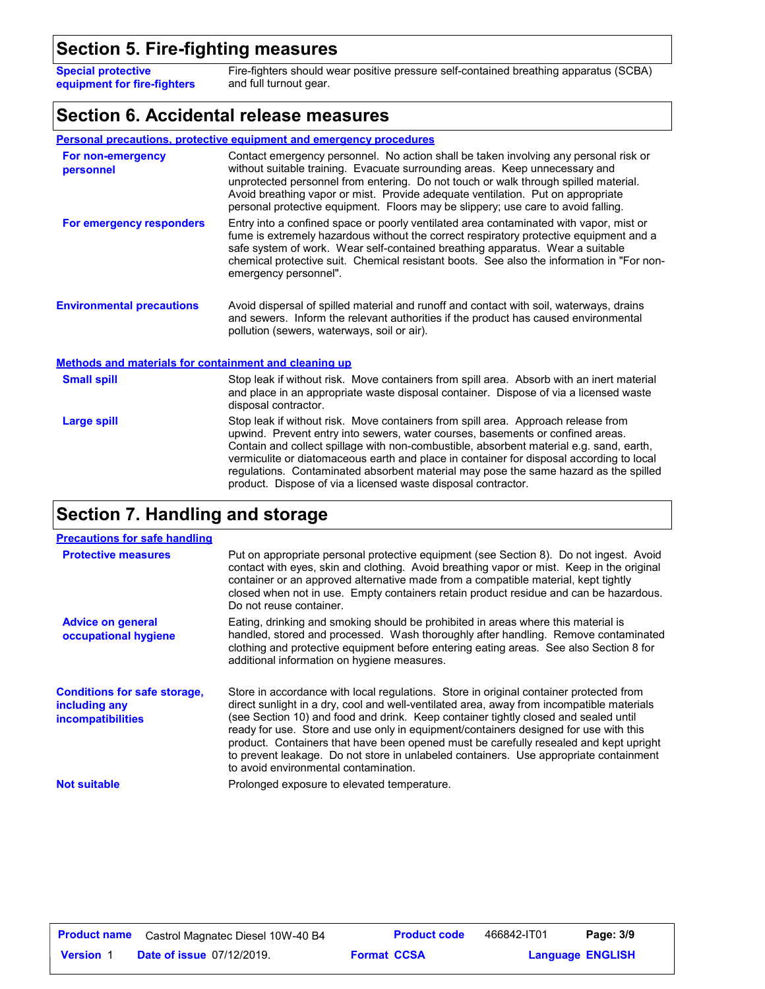### **Section 5. Fire-fighting measures**

**Special protective equipment for fire-fighters** Fire-fighters should wear positive pressure self-contained breathing apparatus (SCBA) and full turnout gear.

#### **Section 6. Accidental release measures**

|                                                       | <b>Personal precautions, protective equipment and emergency procedures</b>                                                                                                                                                                                                                                                                                                                                                                                                                                          |
|-------------------------------------------------------|---------------------------------------------------------------------------------------------------------------------------------------------------------------------------------------------------------------------------------------------------------------------------------------------------------------------------------------------------------------------------------------------------------------------------------------------------------------------------------------------------------------------|
| For non-emergency<br>personnel                        | Contact emergency personnel. No action shall be taken involving any personal risk or<br>without suitable training. Evacuate surrounding areas. Keep unnecessary and<br>unprotected personnel from entering. Do not touch or walk through spilled material.<br>Avoid breathing vapor or mist. Provide adequate ventilation. Put on appropriate<br>personal protective equipment. Floors may be slippery; use care to avoid falling.                                                                                  |
| For emergency responders                              | Entry into a confined space or poorly ventilated area contaminated with vapor, mist or<br>fume is extremely hazardous without the correct respiratory protective equipment and a<br>safe system of work. Wear self-contained breathing apparatus. Wear a suitable<br>chemical protective suit. Chemical resistant boots. See also the information in "For non-<br>emergency personnel".                                                                                                                             |
| <b>Environmental precautions</b>                      | Avoid dispersal of spilled material and runoff and contact with soil, waterways, drains<br>and sewers. Inform the relevant authorities if the product has caused environmental<br>pollution (sewers, waterways, soil or air).                                                                                                                                                                                                                                                                                       |
| Methods and materials for containment and cleaning up |                                                                                                                                                                                                                                                                                                                                                                                                                                                                                                                     |
| <b>Small spill</b>                                    | Stop leak if without risk. Move containers from spill area. Absorb with an inert material<br>and place in an appropriate waste disposal container. Dispose of via a licensed waste<br>disposal contractor.                                                                                                                                                                                                                                                                                                          |
| <b>Large spill</b>                                    | Stop leak if without risk. Move containers from spill area. Approach release from<br>upwind. Prevent entry into sewers, water courses, basements or confined areas.<br>Contain and collect spillage with non-combustible, absorbent material e.g. sand, earth,<br>vermiculite or diatomaceous earth and place in container for disposal according to local<br>regulations. Contaminated absorbent material may pose the same hazard as the spilled<br>product. Dispose of via a licensed waste disposal contractor. |

### **Section 7. Handling and storage**

| <b>Precautions for safe handling</b>                                             |                                                                                                                                                                                                                                                                                                                                                                                                                                                                                                                                                                                               |
|----------------------------------------------------------------------------------|-----------------------------------------------------------------------------------------------------------------------------------------------------------------------------------------------------------------------------------------------------------------------------------------------------------------------------------------------------------------------------------------------------------------------------------------------------------------------------------------------------------------------------------------------------------------------------------------------|
| <b>Protective measures</b>                                                       | Put on appropriate personal protective equipment (see Section 8). Do not ingest. Avoid<br>contact with eyes, skin and clothing. Avoid breathing vapor or mist. Keep in the original<br>container or an approved alternative made from a compatible material, kept tightly<br>closed when not in use. Empty containers retain product residue and can be hazardous.<br>Do not reuse container.                                                                                                                                                                                                 |
| <b>Advice on general</b><br>occupational hygiene                                 | Eating, drinking and smoking should be prohibited in areas where this material is<br>handled, stored and processed. Wash thoroughly after handling. Remove contaminated<br>clothing and protective equipment before entering eating areas. See also Section 8 for<br>additional information on hygiene measures.                                                                                                                                                                                                                                                                              |
| <b>Conditions for safe storage,</b><br>including any<br><i>incompatibilities</i> | Store in accordance with local regulations. Store in original container protected from<br>direct sunlight in a dry, cool and well-ventilated area, away from incompatible materials<br>(see Section 10) and food and drink. Keep container tightly closed and sealed until<br>ready for use. Store and use only in equipment/containers designed for use with this<br>product. Containers that have been opened must be carefully resealed and kept upright<br>to prevent leakage. Do not store in unlabeled containers. Use appropriate containment<br>to avoid environmental contamination. |
| <b>Not suitable</b>                                                              | Prolonged exposure to elevated temperature.                                                                                                                                                                                                                                                                                                                                                                                                                                                                                                                                                   |

| <b>Product name</b> | Castrol Magnatec Diesel 10W-40 B4 |                    | <b>Product code</b> | 466842-IT01             | Page: 3/9 |  |
|---------------------|-----------------------------------|--------------------|---------------------|-------------------------|-----------|--|
| <b>Version 1</b>    | <b>Date of issue 07/12/2019.</b>  | <b>Format CCSA</b> |                     | <b>Language ENGLISH</b> |           |  |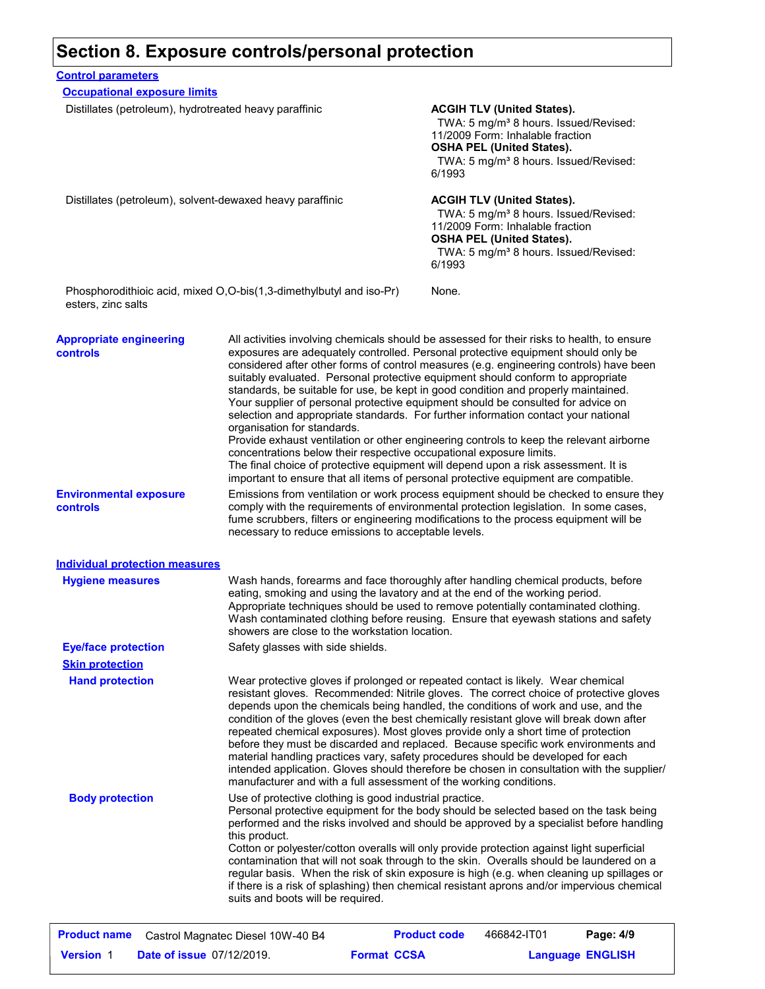#### **Section 8. Exposure controls/personal protection**

| <b>Control parameters</b>                                 |                                                                                                    |                                                                                                                                                                                                                                                                                                                                                                                                                                                                                                                                                                                                                                                                                                                                                                                                                                                                                                      |
|-----------------------------------------------------------|----------------------------------------------------------------------------------------------------|------------------------------------------------------------------------------------------------------------------------------------------------------------------------------------------------------------------------------------------------------------------------------------------------------------------------------------------------------------------------------------------------------------------------------------------------------------------------------------------------------------------------------------------------------------------------------------------------------------------------------------------------------------------------------------------------------------------------------------------------------------------------------------------------------------------------------------------------------------------------------------------------------|
| <b>Occupational exposure limits</b>                       |                                                                                                    |                                                                                                                                                                                                                                                                                                                                                                                                                                                                                                                                                                                                                                                                                                                                                                                                                                                                                                      |
| Distillates (petroleum), hydrotreated heavy paraffinic    |                                                                                                    | <b>ACGIH TLV (United States).</b><br>TWA: 5 mg/m <sup>3</sup> 8 hours. Issued/Revised:<br>11/2009 Form: Inhalable fraction<br><b>OSHA PEL (United States).</b><br>TWA: 5 mg/m <sup>3</sup> 8 hours. Issued/Revised:<br>6/1993                                                                                                                                                                                                                                                                                                                                                                                                                                                                                                                                                                                                                                                                        |
| Distillates (petroleum), solvent-dewaxed heavy paraffinic |                                                                                                    | <b>ACGIH TLV (United States).</b><br>TWA: 5 mg/m <sup>3</sup> 8 hours. Issued/Revised:<br>11/2009 Form: Inhalable fraction<br><b>OSHA PEL (United States).</b><br>TWA: 5 mg/m <sup>3</sup> 8 hours. Issued/Revised:<br>6/1993                                                                                                                                                                                                                                                                                                                                                                                                                                                                                                                                                                                                                                                                        |
| esters, zinc salts                                        | Phosphorodithioic acid, mixed O,O-bis(1,3-dimethylbutyl and iso-Pr)                                | None.                                                                                                                                                                                                                                                                                                                                                                                                                                                                                                                                                                                                                                                                                                                                                                                                                                                                                                |
| <b>Appropriate engineering</b><br>controls                | organisation for standards.<br>concentrations below their respective occupational exposure limits. | All activities involving chemicals should be assessed for their risks to health, to ensure<br>exposures are adequately controlled. Personal protective equipment should only be<br>considered after other forms of control measures (e.g. engineering controls) have been<br>suitably evaluated. Personal protective equipment should conform to appropriate<br>standards, be suitable for use, be kept in good condition and properly maintained.<br>Your supplier of personal protective equipment should be consulted for advice on<br>selection and appropriate standards. For further information contact your national<br>Provide exhaust ventilation or other engineering controls to keep the relevant airborne<br>The final choice of protective equipment will depend upon a risk assessment. It is<br>important to ensure that all items of personal protective equipment are compatible. |
| <b>Environmental exposure</b><br>controls                 | necessary to reduce emissions to acceptable levels.                                                | Emissions from ventilation or work process equipment should be checked to ensure they<br>comply with the requirements of environmental protection legislation. In some cases,<br>fume scrubbers, filters or engineering modifications to the process equipment will be                                                                                                                                                                                                                                                                                                                                                                                                                                                                                                                                                                                                                               |
| <b>Individual protection measures</b>                     |                                                                                                    |                                                                                                                                                                                                                                                                                                                                                                                                                                                                                                                                                                                                                                                                                                                                                                                                                                                                                                      |
| <b>Hygiene measures</b>                                   | showers are close to the workstation location.                                                     | Wash hands, forearms and face thoroughly after handling chemical products, before<br>eating, smoking and using the lavatory and at the end of the working period.<br>Appropriate techniques should be used to remove potentially contaminated clothing.<br>Wash contaminated clothing before reusing. Ensure that eyewash stations and safety                                                                                                                                                                                                                                                                                                                                                                                                                                                                                                                                                        |

**Hand protection** Wear protective gloves if prolonged or repeated contact is likely. Wear chemical **Eye/face protection** Safety glasses with side shields. **Skin protection**

resistant gloves. Recommended: Nitrile gloves. The correct choice of protective gloves depends upon the chemicals being handled, the conditions of work and use, and the condition of the gloves (even the best chemically resistant glove will break down after repeated chemical exposures). Most gloves provide only a short time of protection before they must be discarded and replaced. Because specific work environments and material handling practices vary, safety procedures should be developed for each intended application. Gloves should therefore be chosen in consultation with the supplier/ manufacturer and with a full assessment of the working conditions. **Body protection** Use of protective clothing is good industrial practice. Personal protective equipment for the body should be selected based on the task being

performed and the risks involved and should be approved by a specialist before handling this product. Cotton or polyester/cotton overalls will only provide protection against light superficial contamination that will not soak through to the skin. Overalls should be laundered on a regular basis. When the risk of skin exposure is high (e.g. when cleaning up spillages or if there is a risk of splashing) then chemical resistant aprons and/or impervious chemical suits and boots will be required.

|                  | <b>Product name</b> Castrol Magnatec Diesel 10W-40 B4 | <b>Product code</b> | 466842-IT01             | Page: 4/9 |
|------------------|-------------------------------------------------------|---------------------|-------------------------|-----------|
| <b>Version 1</b> | <b>Date of issue 07/12/2019.</b>                      | <b>Format CCSA</b>  | <b>Language ENGLISH</b> |           |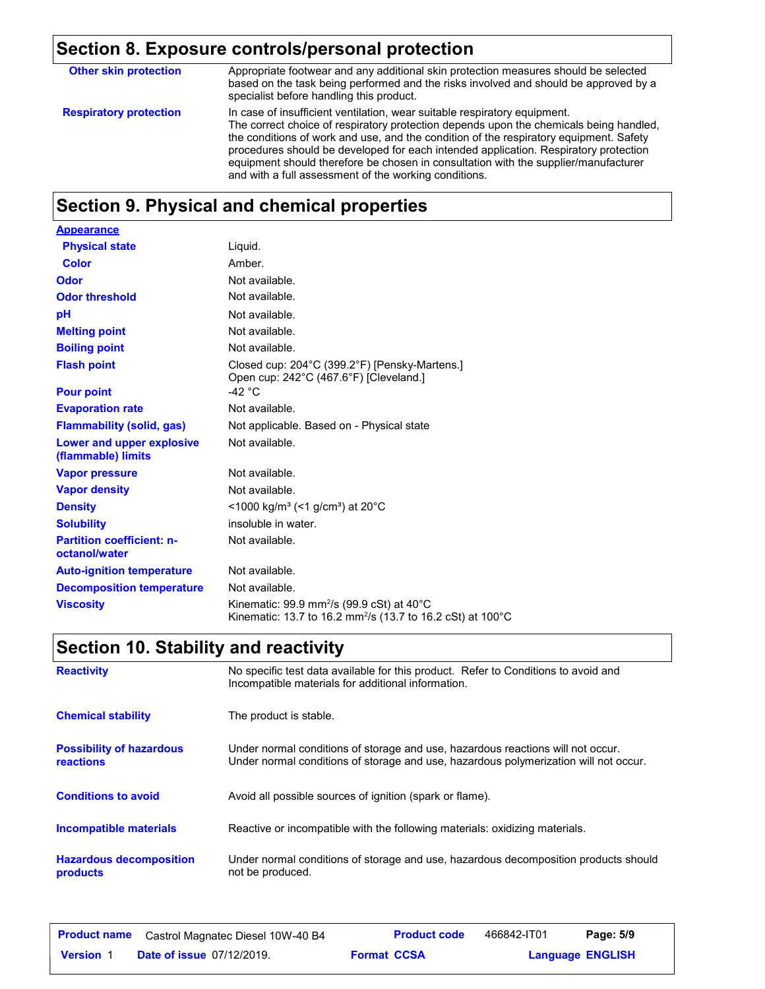## **Section 8. Exposure controls/personal protection**

| <b>Other skin protection</b>  | Appropriate footwear and any additional skin protection measures should be selected<br>based on the task being performed and the risks involved and should be approved by a<br>specialist before handling this product.                                                                                                                                                                                                                                                                               |
|-------------------------------|-------------------------------------------------------------------------------------------------------------------------------------------------------------------------------------------------------------------------------------------------------------------------------------------------------------------------------------------------------------------------------------------------------------------------------------------------------------------------------------------------------|
| <b>Respiratory protection</b> | In case of insufficient ventilation, wear suitable respiratory equipment.<br>The correct choice of respiratory protection depends upon the chemicals being handled.<br>the conditions of work and use, and the condition of the respiratory equipment. Safety<br>procedures should be developed for each intended application. Respiratory protection<br>equipment should therefore be chosen in consultation with the supplier/manufacturer<br>and with a full assessment of the working conditions. |

## **Section 9. Physical and chemical properties**

| <b>Appearance</b>                                 |                                                                                                                                  |
|---------------------------------------------------|----------------------------------------------------------------------------------------------------------------------------------|
| <b>Physical state</b>                             | Liquid.                                                                                                                          |
| <b>Color</b>                                      | Amber.                                                                                                                           |
| Odor                                              | Not available.                                                                                                                   |
| <b>Odor threshold</b>                             | Not available.                                                                                                                   |
| рH                                                | Not available.                                                                                                                   |
| <b>Melting point</b>                              | Not available.                                                                                                                   |
| <b>Boiling point</b>                              | Not available.                                                                                                                   |
| <b>Flash point</b>                                | Closed cup: 204°C (399.2°F) [Pensky-Martens.]<br>Open cup: 242°C (467.6°F) [Cleveland.]                                          |
| <b>Pour point</b>                                 | -42 $^{\circ}$ C                                                                                                                 |
| <b>Evaporation rate</b>                           | Not available.                                                                                                                   |
| <b>Flammability (solid, gas)</b>                  | Not applicable. Based on - Physical state                                                                                        |
| Lower and upper explosive<br>(flammable) limits   | Not available.                                                                                                                   |
| <b>Vapor pressure</b>                             | Not available.                                                                                                                   |
| <b>Vapor density</b>                              | Not available.                                                                                                                   |
| <b>Density</b>                                    | <1000 kg/m <sup>3</sup> (<1 g/cm <sup>3</sup> ) at 20 <sup>°</sup> C                                                             |
| <b>Solubility</b>                                 | insoluble in water.                                                                                                              |
| <b>Partition coefficient: n-</b><br>octanol/water | Not available.                                                                                                                   |
| <b>Auto-ignition temperature</b>                  | Not available.                                                                                                                   |
| <b>Decomposition temperature</b>                  | Not available.                                                                                                                   |
| <b>Viscosity</b>                                  | Kinematic: 99.9 mm <sup>2</sup> /s (99.9 cSt) at 40°C<br>Kinematic: 13.7 to 16.2 mm <sup>2</sup> /s (13.7 to 16.2 cSt) at 100 °C |

## **Section 10. Stability and reactivity**

| <b>Reactivity</b>                            | No specific test data available for this product. Refer to Conditions to avoid and<br>Incompatible materials for additional information.                                |
|----------------------------------------------|-------------------------------------------------------------------------------------------------------------------------------------------------------------------------|
| <b>Chemical stability</b>                    | The product is stable.                                                                                                                                                  |
| <b>Possibility of hazardous</b><br>reactions | Under normal conditions of storage and use, hazardous reactions will not occur.<br>Under normal conditions of storage and use, hazardous polymerization will not occur. |
| <b>Conditions to avoid</b>                   | Avoid all possible sources of ignition (spark or flame).                                                                                                                |
| <b>Incompatible materials</b>                | Reactive or incompatible with the following materials: oxidizing materials.                                                                                             |
| <b>Hazardous decomposition</b><br>products   | Under normal conditions of storage and use, hazardous decomposition products should<br>not be produced.                                                                 |

| <b>Product name</b> | Castrol Magnatec Diesel 10W-40 B4 | <b>Product code</b> | 466842-IT01 | Page: 5/9               |
|---------------------|-----------------------------------|---------------------|-------------|-------------------------|
| Version             | <b>Date of issue 07/12/2019.</b>  | <b>Format CCSA</b>  |             | <b>Language ENGLISH</b> |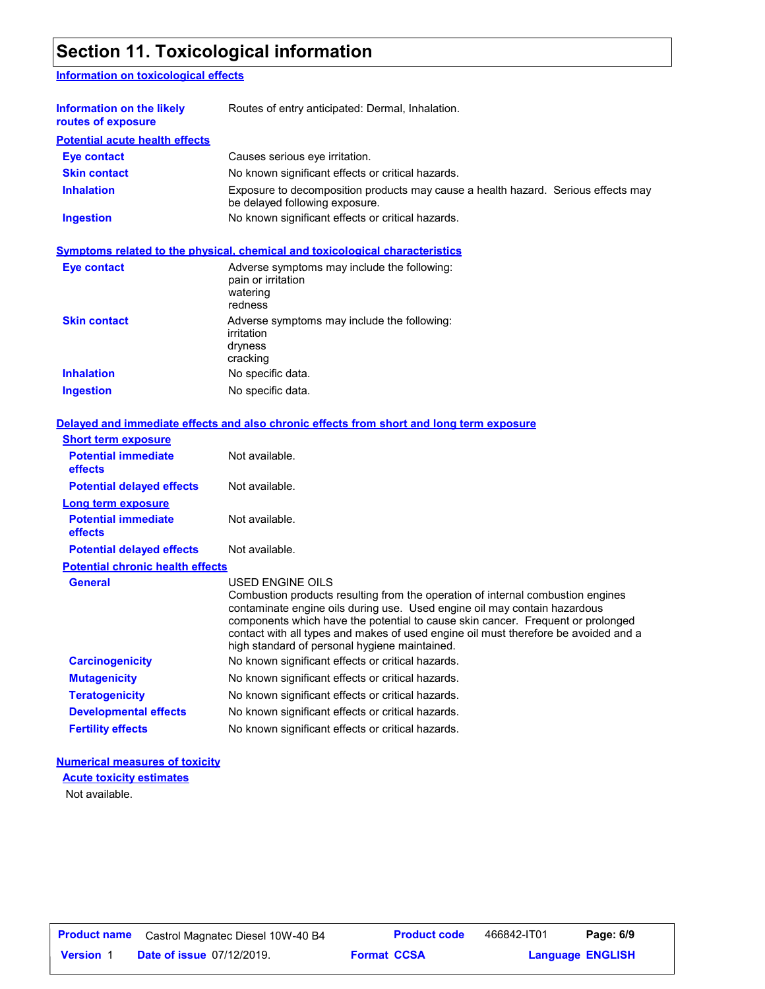### **Section 11. Toxicological information**

#### **Information on toxicological effects**

| Information on the likely<br>routes of exposure | Routes of entry anticipated: Dermal, Inhalation.                                                                    |  |
|-------------------------------------------------|---------------------------------------------------------------------------------------------------------------------|--|
| <b>Potential acute health effects</b>           |                                                                                                                     |  |
| <b>Eye contact</b>                              | Causes serious eve irritation.                                                                                      |  |
| <b>Skin contact</b>                             | No known significant effects or critical hazards.                                                                   |  |
| <b>Inhalation</b>                               | Exposure to decomposition products may cause a health hazard. Serious effects may<br>be delayed following exposure. |  |
| <b>Ingestion</b>                                | No known significant effects or critical hazards.                                                                   |  |

#### **Symptoms related to the physical, chemical and toxicological characteristics**

| <b>Eye contact</b>  | Adverse symptoms may include the following:<br>pain or irritation<br>watering<br>redness |
|---------------------|------------------------------------------------------------------------------------------|
| <b>Skin contact</b> | Adverse symptoms may include the following:<br>irritation<br>dryness<br>cracking         |
| <b>Inhalation</b>   | No specific data.                                                                        |
| <b>Ingestion</b>    | No specific data.                                                                        |

#### **Delayed and immediate effects and also chronic effects from short and long term exposure**

| <b>Short term exposure</b>              |                                                                                                                                                                                                                                                                                                                                                                                                             |
|-----------------------------------------|-------------------------------------------------------------------------------------------------------------------------------------------------------------------------------------------------------------------------------------------------------------------------------------------------------------------------------------------------------------------------------------------------------------|
| <b>Potential immediate</b><br>effects   | Not available.                                                                                                                                                                                                                                                                                                                                                                                              |
| <b>Potential delayed effects</b>        | Not available.                                                                                                                                                                                                                                                                                                                                                                                              |
| <b>Long term exposure</b>               |                                                                                                                                                                                                                                                                                                                                                                                                             |
| <b>Potential immediate</b><br>effects   | Not available.                                                                                                                                                                                                                                                                                                                                                                                              |
| <b>Potential delayed effects</b>        | Not available.                                                                                                                                                                                                                                                                                                                                                                                              |
| <b>Potential chronic health effects</b> |                                                                                                                                                                                                                                                                                                                                                                                                             |
| <b>General</b>                          | USED ENGINE OILS<br>Combustion products resulting from the operation of internal combustion engines<br>contaminate engine oils during use. Used engine oil may contain hazardous<br>components which have the potential to cause skin cancer. Frequent or prolonged<br>contact with all types and makes of used engine oil must therefore be avoided and a<br>high standard of personal hygiene maintained. |
| <b>Carcinogenicity</b>                  | No known significant effects or critical hazards.                                                                                                                                                                                                                                                                                                                                                           |
| <b>Mutagenicity</b>                     | No known significant effects or critical hazards.                                                                                                                                                                                                                                                                                                                                                           |
| <b>Teratogenicity</b>                   | No known significant effects or critical hazards.                                                                                                                                                                                                                                                                                                                                                           |
| <b>Developmental effects</b>            | No known significant effects or critical hazards.                                                                                                                                                                                                                                                                                                                                                           |
| <b>Fertility effects</b>                | No known significant effects or critical hazards.                                                                                                                                                                                                                                                                                                                                                           |
|                                         |                                                                                                                                                                                                                                                                                                                                                                                                             |

#### **Numerical measures of toxicity**

**Acute toxicity estimates**

Not available.

| <b>Product name</b> | Castrol Magnatec Diesel 10W-40 B4 | <b>Product code</b> | 466842-IT01             | Page: 6/9 |  |
|---------------------|-----------------------------------|---------------------|-------------------------|-----------|--|
| <b>Version 1</b>    | <b>Date of issue 07/12/2019.</b>  | <b>Format CCSA</b>  | <b>Language ENGLISH</b> |           |  |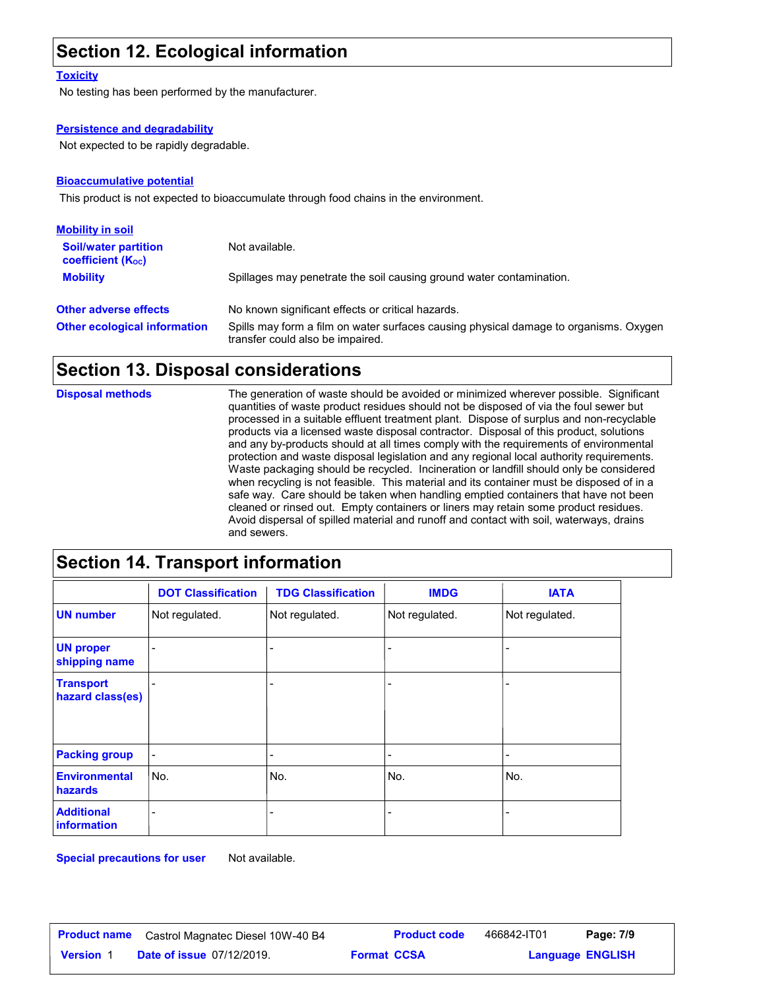### **Section 12. Ecological information**

#### **Toxicity**

No testing has been performed by the manufacturer.

#### **Persistence and degradability**

Not expected to be rapidly degradable.

#### **Bioaccumulative potential**

This product is not expected to bioaccumulate through food chains in the environment.

| <b>Mobility in soil</b>                                 |                                                                                                                           |
|---------------------------------------------------------|---------------------------------------------------------------------------------------------------------------------------|
| <b>Soil/water partition</b><br><b>coefficient (Koc)</b> | Not available.                                                                                                            |
| <b>Mobility</b>                                         | Spillages may penetrate the soil causing ground water contamination.                                                      |
| <b>Other adverse effects</b>                            | No known significant effects or critical hazards.                                                                         |
| <b>Other ecological information</b>                     | Spills may form a film on water surfaces causing physical damage to organisms. Oxygen<br>transfer could also be impaired. |

#### **Section 13. Disposal considerations**

**Section 14. Transport information**

The generation of waste should be avoided or minimized wherever possible. Significant quantities of waste product residues should not be disposed of via the foul sewer but processed in a suitable effluent treatment plant. Dispose of surplus and non-recyclable products via a licensed waste disposal contractor. Disposal of this product, solutions and any by-products should at all times comply with the requirements of environmental protection and waste disposal legislation and any regional local authority requirements. Waste packaging should be recycled. Incineration or landfill should only be considered when recycling is not feasible. This material and its container must be disposed of in a safe way. Care should be taken when handling emptied containers that have not been cleaned or rinsed out. Empty containers or liners may retain some product residues. Avoid dispersal of spilled material and runoff and contact with soil, waterways, drains and sewers. **Disposal methods**

|                                      | <b>DOT Classification</b>    | <b>TDG Classification</b> | <b>IMDG</b>    | <b>IATA</b>    |
|--------------------------------------|------------------------------|---------------------------|----------------|----------------|
| <b>UN number</b>                     | Not regulated.               | Not regulated.            | Not regulated. | Not regulated. |
| <b>UN proper</b><br>shipping name    |                              |                           |                |                |
| <b>Transport</b><br>hazard class(es) |                              |                           |                |                |
| <b>Packing group</b>                 | $\qquad \qquad \blacksquare$ |                           | -              |                |
| <b>Environmental</b><br>hazards      | No.                          | No.                       | No.            | No.            |
| <b>Additional</b><br>information     |                              |                           |                |                |

**Special precautions for user** Not available.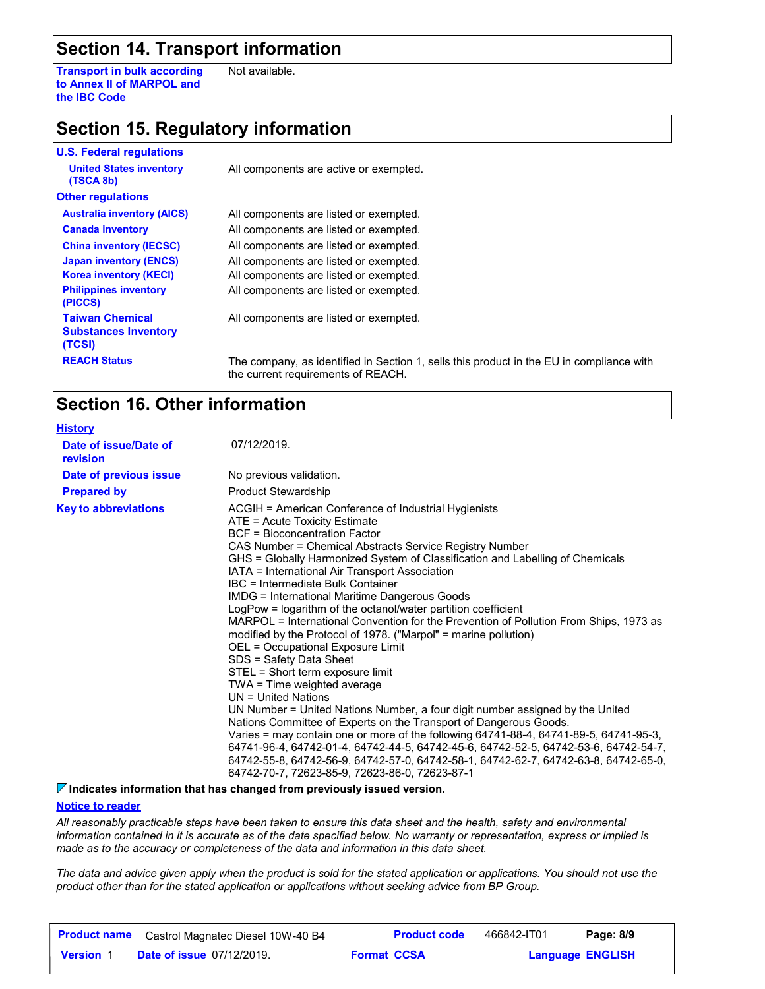### **Section 14. Transport information**

**Transport in bulk according to Annex II of MARPOL and the IBC Code** Not available.

### **Section 15. Regulatory information**

| <b>U.S. Federal regulations</b>                                 |                                                                                    |
|-----------------------------------------------------------------|------------------------------------------------------------------------------------|
| <b>United States inventory</b><br>(TSCA 8b)                     | All components are active or exempted.                                             |
| <b>Other regulations</b>                                        |                                                                                    |
| <b>Australia inventory (AICS)</b>                               | All components are listed or exempted.                                             |
| <b>Canada inventory</b>                                         | All components are listed or exempted.                                             |
| <b>China inventory (IECSC)</b>                                  | All components are listed or exempted.                                             |
| <b>Japan inventory (ENCS)</b>                                   | All components are listed or exempted.                                             |
| <b>Korea inventory (KECI)</b>                                   | All components are listed or exempted.                                             |
| <b>Philippines inventory</b><br>(PICCS)                         | All components are listed or exempted.                                             |
| <b>Taiwan Chemical</b><br><b>Substances Inventory</b><br>(TCSI) | All components are listed or exempted.                                             |
| <b>REACH Status</b>                                             | The company, as identified in Section 1, sell<br>the support positions of $DFAOII$ |

**REACT Statush Status** EU in compliance with the current requirements of REACH.

### **Section 16. Other information**

| <b>History</b>                    |                                                                                                                                                                                                                                                                                                                                                                                                                                                                                                                                                                                                                                                                                                                                                                                                                                                                                                                                                                                                                                                                                                                                                                                                                                                                                                  |
|-----------------------------------|--------------------------------------------------------------------------------------------------------------------------------------------------------------------------------------------------------------------------------------------------------------------------------------------------------------------------------------------------------------------------------------------------------------------------------------------------------------------------------------------------------------------------------------------------------------------------------------------------------------------------------------------------------------------------------------------------------------------------------------------------------------------------------------------------------------------------------------------------------------------------------------------------------------------------------------------------------------------------------------------------------------------------------------------------------------------------------------------------------------------------------------------------------------------------------------------------------------------------------------------------------------------------------------------------|
| Date of issue/Date of<br>revision | 07/12/2019.                                                                                                                                                                                                                                                                                                                                                                                                                                                                                                                                                                                                                                                                                                                                                                                                                                                                                                                                                                                                                                                                                                                                                                                                                                                                                      |
| Date of previous issue            | No previous validation.                                                                                                                                                                                                                                                                                                                                                                                                                                                                                                                                                                                                                                                                                                                                                                                                                                                                                                                                                                                                                                                                                                                                                                                                                                                                          |
| <b>Prepared by</b>                | <b>Product Stewardship</b>                                                                                                                                                                                                                                                                                                                                                                                                                                                                                                                                                                                                                                                                                                                                                                                                                                                                                                                                                                                                                                                                                                                                                                                                                                                                       |
| <b>Key to abbreviations</b>       | ACGIH = American Conference of Industrial Hygienists<br>ATE = Acute Toxicity Estimate<br><b>BCF</b> = Bioconcentration Factor<br>CAS Number = Chemical Abstracts Service Registry Number<br>GHS = Globally Harmonized System of Classification and Labelling of Chemicals<br>IATA = International Air Transport Association<br>IBC = Intermediate Bulk Container<br><b>IMDG = International Maritime Dangerous Goods</b><br>LogPow = logarithm of the octanol/water partition coefficient<br>MARPOL = International Convention for the Prevention of Pollution From Ships, 1973 as<br>modified by the Protocol of 1978. ("Marpol" = marine pollution)<br>OEL = Occupational Exposure Limit<br>SDS = Safety Data Sheet<br>STEL = Short term exposure limit<br>TWA = Time weighted average<br>$UN = United Nations$<br>UN Number = United Nations Number, a four digit number assigned by the United<br>Nations Committee of Experts on the Transport of Dangerous Goods.<br>Varies = may contain one or more of the following 64741-88-4, 64741-89-5, 64741-95-3,<br>64741-96-4, 64742-01-4, 64742-44-5, 64742-45-6, 64742-52-5, 64742-53-6, 64742-54-7,<br>64742-55-8, 64742-56-9, 64742-57-0, 64742-58-1, 64742-62-7, 64742-63-8, 64742-65-0,<br>64742-70-7, 72623-85-9, 72623-86-0, 72623-87-1 |

**Indicates information that has changed from previously issued version.**

#### **Notice to reader**

*All reasonably practicable steps have been taken to ensure this data sheet and the health, safety and environmental information contained in it is accurate as of the date specified below. No warranty or representation, express or implied is made as to the accuracy or completeness of the data and information in this data sheet.*

*The data and advice given apply when the product is sold for the stated application or applications. You should not use the product other than for the stated application or applications without seeking advice from BP Group.*

|                  | <b>Product name</b> Castrol Magnatec Diesel 10W-40 B4 | <b>Product code</b> | 466842-IT01             | Page: 8/9 |
|------------------|-------------------------------------------------------|---------------------|-------------------------|-----------|
| <b>Version</b> 1 | <b>Date of issue 07/12/2019.</b>                      | <b>Format CCSA</b>  | <b>Language ENGLISH</b> |           |